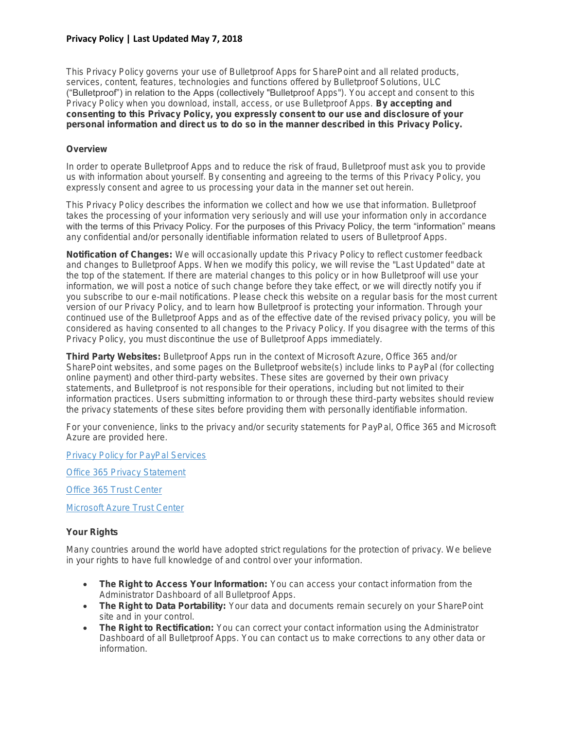**This Privacy Policy governs your use of Bulletproof Apps for SharePoint and all related products, services, content, features, technologies and functions offered by Bulletproof Solutions, ULC ("Bulletproof") in relation to the Apps (collectively "Bulletproof Apps"). You accept and consent to this Privacy Policy when you download, install, access, or use Bulletproof Apps. By accepting and consenting to this Privacy Policy, you expressly consent to our use and disclosure of your personal information and direct us to do so in the manner described in this Privacy Policy.**

## **Overview**

**In order to operate Bulletproof Apps and to reduce the risk of fraud, Bulletproof must ask you to provide us with information about yourself. By consenting and agreeing to the terms of this Privacy Policy, you expressly consent and agree to us processing your data in the manner set out herein.**

**This Privacy Policy describes the information we collect and how we use that information. Bulletproof takes the processing of your information very seriously and will use your information only in accordance with the terms of this Privacy Policy. For the purposes of this Privacy Policy, the term "information" means any confidential and/or personally identifiable information related to users of Bulletproof Apps.**

**Notification of Changes: We will occasionally update this Privacy Policy to reflect customer feedback and changes to Bulletproof Apps. When we modify this policy, we will revise the "Last Updated" date at the top of the statement. If there are material changes to this policy or in how Bulletproof will use your information, we will post a notice of such change before they take effect, or we will directly notify you if you subscribe to our e-mail notifications. Please check this website on a regular basis for the most current version of our Privacy Policy, and to learn how Bulletproof is protecting your information. Through your continued use of the Bulletproof Apps and as of the effective date of the revised privacy policy, you will be considered as having consented to all changes to the Privacy Policy. If you disagree with the terms of this Privacy Policy, you must discontinue the use of Bulletproof Apps immediately.**

**Third Party Websites: Bulletproof Apps run in the context of Microsoft Azure, Office 365 and/or SharePoint websites, and some pages on the Bulletproof website(s) include links to PayPal (for collecting online payment) and other third-party websites. These sites are governed by their own privacy statements, and Bulletproof is not responsible for their operations, including but not limited to their information practices. Users submitting information to or through these third-party websites should review the privacy statements of these sites before providing them with personally identifiable information.**

**For your convenience, links to the privacy and/or security statements for PayPal, Office 365 and Microsoft Azure are provided here.**

**[Privacy Policy for PayPal Services](https://www.paypal.com/gi/webapps/mpp/ua/privacy-full)**

**[Office 365 Privacy Statement](https://www.microsoft.com/online/legal/v2/?docid=43)**

**[Office 365 Trust Center](http://www.trustoffice365.com/)**

**[Microsoft Azure Trust Center](https://azure.microsoft.com/en-ca/support/trust-center/)**

## **Your Rights**

**Many countries around the world have adopted strict regulations for the protection of privacy. We believe in your rights to have full knowledge of and control over your information.**

- **The Right to Access Your Information: You can access your contact information from the Administrator Dashboard of all Bulletproof Apps.**
- **The Right to Data Portability: Your data and documents remain securely on your SharePoint site and in your control.**
- **The Right to Rectification: You can correct your contact information using the Administrator Dashboard of all Bulletproof Apps. You can contact us to make corrections to any other data or information.**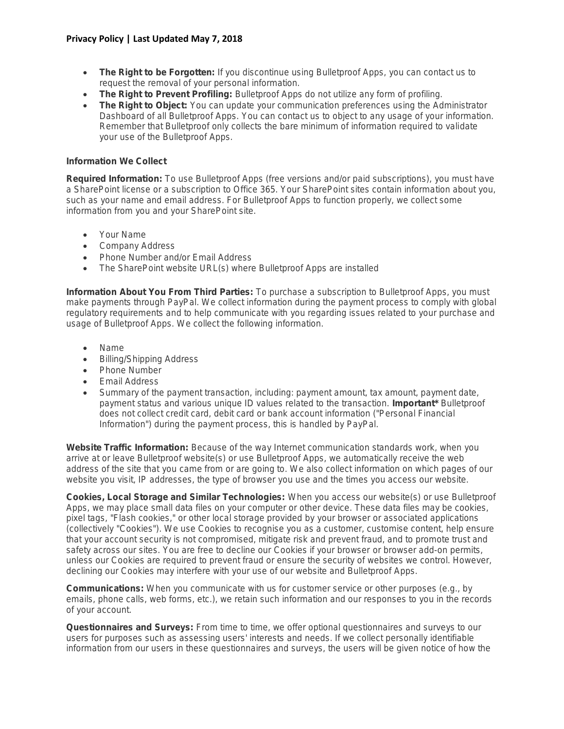- **The Right to be Forgotten: If you discontinue using Bulletproof Apps, you can contact us to request the removal of your personal information.**
- **The Right to Prevent Profiling: Bulletproof Apps do not utilize any form of profiling.**
- **The Right to Object: You can update your communication preferences using the Administrator Dashboard of all Bulletproof Apps. You can contact us to object to any usage of your information. Remember that Bulletproof only collects the bare minimum of information required to validate your use of the Bulletproof Apps.**

## **Information We Collect**

**Required Information: To use Bulletproof Apps (free versions and/or paid subscriptions), you must have a SharePoint license or a subscription to Office 365. Your SharePoint sites contain information about you, such as your name and email address. For Bulletproof Apps to function properly, we collect some information from you and your SharePoint site.**

- **Your Name**
- **Company Address**
- **Phone Number and/or Email Address**
- **The SharePoint website URL(s) where Bulletproof Apps are installed**

**Information About You From Third Parties: To purchase a subscription to Bulletproof Apps, you must make payments through PayPal. We collect information during the payment process to comply with global regulatory requirements and to help communicate with you regarding issues related to your purchase and usage of Bulletproof Apps. We collect the following information.**

- **Name**
- **Billing/Shipping Address**
- **Phone Number**
- **Email Address**
- **Summary of the payment transaction, including: payment amount, tax amount, payment date, payment status and various unique ID values related to the transaction. Important\* Bulletproof does not collect credit card, debit card or bank account information ("Personal Financial Information") during the payment process, this is handled by PayPal.**

**Website Traffic Information: Because of the way Internet communication standards work, when you arrive at or leave Bulletproof website(s) or use Bulletproof Apps, we automatically receive the web address of the site that you came from or are going to. We also collect information on which pages of our website you visit, IP addresses, the type of browser you use and the times you access our website.**

**Cookies, Local Storage and Similar Technologies: When you access our website(s) or use Bulletproof Apps, we may place small data files on your computer or other device. These data files may be cookies, pixel tags, "Flash cookies," or other local storage provided by your browser or associated applications (collectively "Cookies"). We use Cookies to recognise you as a customer, customise content, help ensure that your account security is not compromised, mitigate risk and prevent fraud, and to promote trust and safety across our sites. You are free to decline our Cookies if your browser or browser add-on permits, unless our Cookies are required to prevent fraud or ensure the security of websites we control. However, declining our Cookies may interfere with your use of our website and Bulletproof Apps.**

**Communications: When you communicate with us for customer service or other purposes (e.g., by emails, phone calls, web forms, etc.), we retain such information and our responses to you in the records of your account.**

**Questionnaires and Surveys: From time to time, we offer optional questionnaires and surveys to our users for purposes such as assessing users' interests and needs. If we collect personally identifiable information from our users in these questionnaires and surveys, the users will be given notice of how the**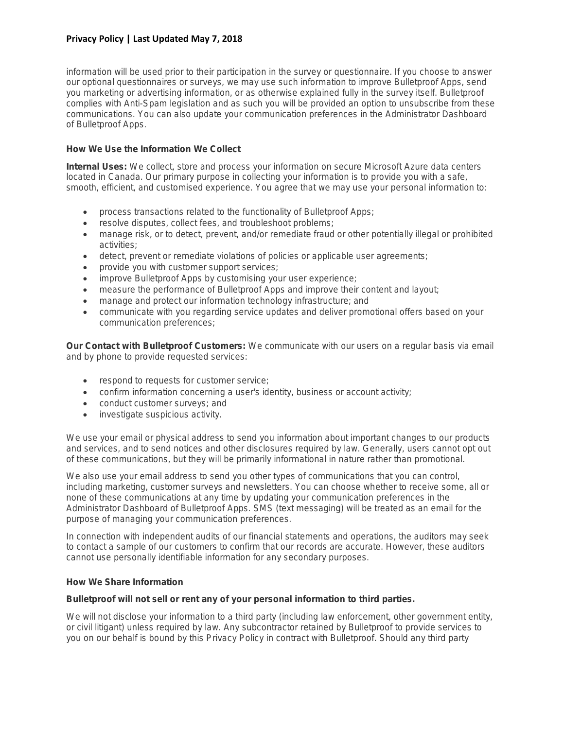**information will be used prior to their participation in the survey or questionnaire. If you choose to answer our optional questionnaires or surveys, we may use such information to improve Bulletproof Apps, send you marketing or advertising information, or as otherwise explained fully in the survey itself. Bulletproof complies with Anti-Spam legislation and as such you will be provided an option to unsubscribe from these communications. You can also update your communication preferences in the Administrator Dashboard of Bulletproof Apps.**

## **How We Use the Information We Collect**

**Internal Uses: We collect, store and process your information on secure Microsoft Azure data centers located in Canada. Our primary purpose in collecting your information is to provide you with a safe, smooth, efficient, and customised experience. You agree that we may use your personal information to:**

- **process transactions related to the functionality of Bulletproof Apps;**
- **resolve disputes, collect fees, and troubleshoot problems;**
- **manage risk, or to detect, prevent, and/or remediate fraud or other potentially illegal or prohibited activities;**
- **detect, prevent or remediate violations of policies or applicable user agreements;**
- **provide you with customer support services;**
- **improve Bulletproof Apps by customising your user experience;**
- **measure the performance of Bulletproof Apps and improve their content and layout;**
- **manage and protect our information technology infrastructure; and**
- **communicate with you regarding service updates and deliver promotional offers based on your communication preferences;**

**Our Contact with Bulletproof Customers: We communicate with our users on a regular basis via email and by phone to provide requested services:**

- **respond to requests for customer service;**
- **confirm information concerning a user's identity, business or account activity;**
- **conduct customer surveys; and**
- **investigate suspicious activity.**

**We use your email or physical address to send you information about important changes to our products and services, and to send notices and other disclosures required by law. Generally, users cannot opt out of these communications, but they will be primarily informational in nature rather than promotional.**

**We also use your email address to send you other types of communications that you can control, including marketing, customer surveys and newsletters. You can choose whether to receive some, all or none of these communications at any time by updating your communication preferences in the Administrator Dashboard of Bulletproof Apps. SMS (text messaging) will be treated as an email for the purpose of managing your communication preferences.**

**In connection with independent audits of our financial statements and operations, the auditors may seek to contact a sample of our customers to confirm that our records are accurate. However, these auditors cannot use personally identifiable information for any secondary purposes.**

## **How We Share Information**

**Bulletproof will not sell or rent any of your personal information to third parties.**

**We will not disclose your information to a third party (including law enforcement, other government entity, or civil litigant) unless required by law. Any subcontractor retained by Bulletproof to provide services to you on our behalf is bound by this Privacy Policy in contract with Bulletproof. Should any third party**